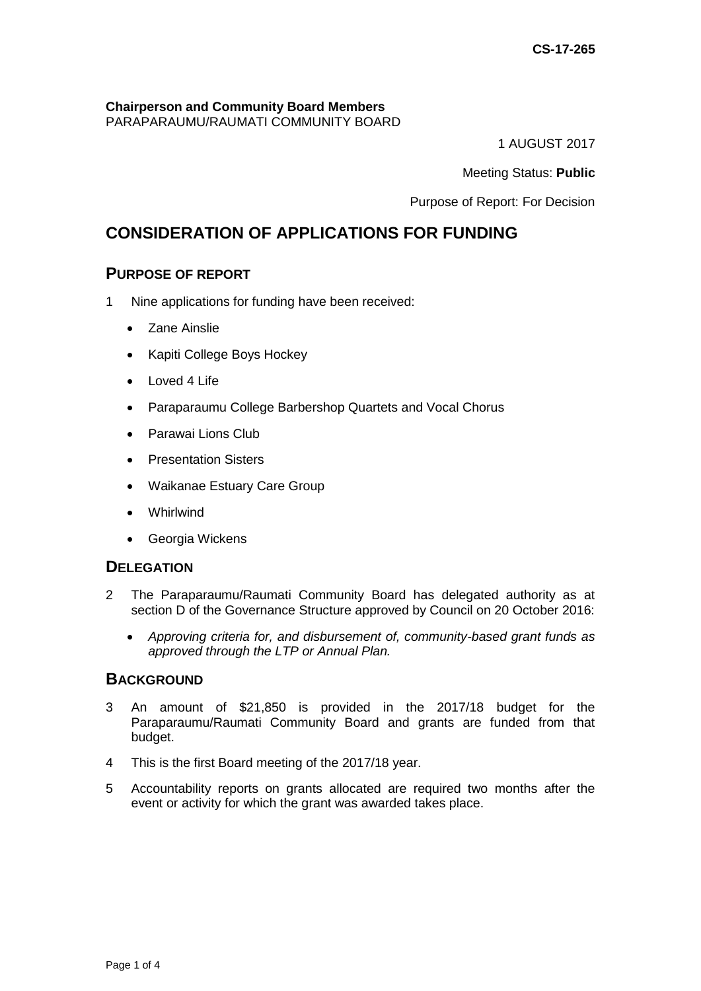# **Chairperson and Community Board Members**

PARAPARAUMU/RAUMATI COMMUNITY BOARD

1 AUGUST 2017

Meeting Status: **Public**

Purpose of Report: For Decision

# **CONSIDERATION OF APPLICATIONS FOR FUNDING**

# **PURPOSE OF REPORT**

- 1 Nine applications for funding have been received:
	- Zane Ainslie
	- Kapiti College Boys Hockey
	- Loved 4 Life
	- Paraparaumu College Barbershop Quartets and Vocal Chorus
	- Parawai Lions Club
	- Presentation Sisters
	- Waikanae Estuary Care Group
	- Whirlwind
	- Georgia Wickens

# **DELEGATION**

- 2 The Paraparaumu/Raumati Community Board has delegated authority as at section D of the Governance Structure approved by Council on 20 October 2016:
	- *Approving criteria for, and disbursement of, community-based grant funds as approved through the LTP or Annual Plan.*

# **BACKGROUND**

- 3 An amount of \$21,850 is provided in the 2017/18 budget for the Paraparaumu/Raumati Community Board and grants are funded from that budget.
- 4 This is the first Board meeting of the 2017/18 year.
- 5 Accountability reports on grants allocated are required two months after the event or activity for which the grant was awarded takes place.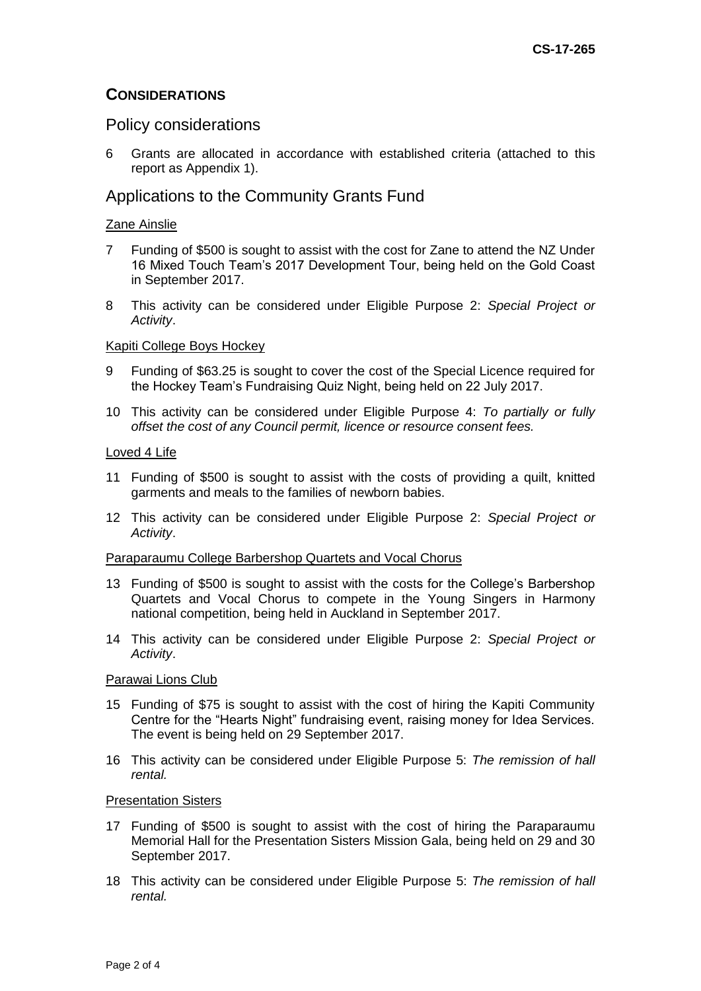## **CONSIDERATIONS**

### Policy considerations

6 Grants are allocated in accordance with established criteria (attached to this report as Appendix 1).

## Applications to the Community Grants Fund

#### Zane Ainslie

- 7 Funding of \$500 is sought to assist with the cost for Zane to attend the NZ Under 16 Mixed Touch Team's 2017 Development Tour, being held on the Gold Coast in September 2017.
- 8 This activity can be considered under Eligible Purpose 2: *Special Project or Activity*.

#### Kapiti College Boys Hockey

- 9 Funding of \$63.25 is sought to cover the cost of the Special Licence required for the Hockey Team's Fundraising Quiz Night, being held on 22 July 2017.
- 10 This activity can be considered under Eligible Purpose 4: *To partially or fully offset the cost of any Council permit, licence or resource consent fees.*

#### Loved 4 Life

- 11 Funding of \$500 is sought to assist with the costs of providing a quilt, knitted garments and meals to the families of newborn babies.
- 12 This activity can be considered under Eligible Purpose 2: *Special Project or Activity*.

#### Paraparaumu College Barbershop Quartets and Vocal Chorus

- 13 Funding of \$500 is sought to assist with the costs for the College's Barbershop Quartets and Vocal Chorus to compete in the Young Singers in Harmony national competition, being held in Auckland in September 2017.
- 14 This activity can be considered under Eligible Purpose 2: *Special Project or Activity*.

#### Parawai Lions Club

- 15 Funding of \$75 is sought to assist with the cost of hiring the Kapiti Community Centre for the "Hearts Night" fundraising event, raising money for Idea Services. The event is being held on 29 September 2017.
- 16 This activity can be considered under Eligible Purpose 5: *The remission of hall rental.*

#### Presentation Sisters

- 17 Funding of \$500 is sought to assist with the cost of hiring the Paraparaumu Memorial Hall for the Presentation Sisters Mission Gala, being held on 29 and 30 September 2017.
- 18 This activity can be considered under Eligible Purpose 5: *The remission of hall rental.*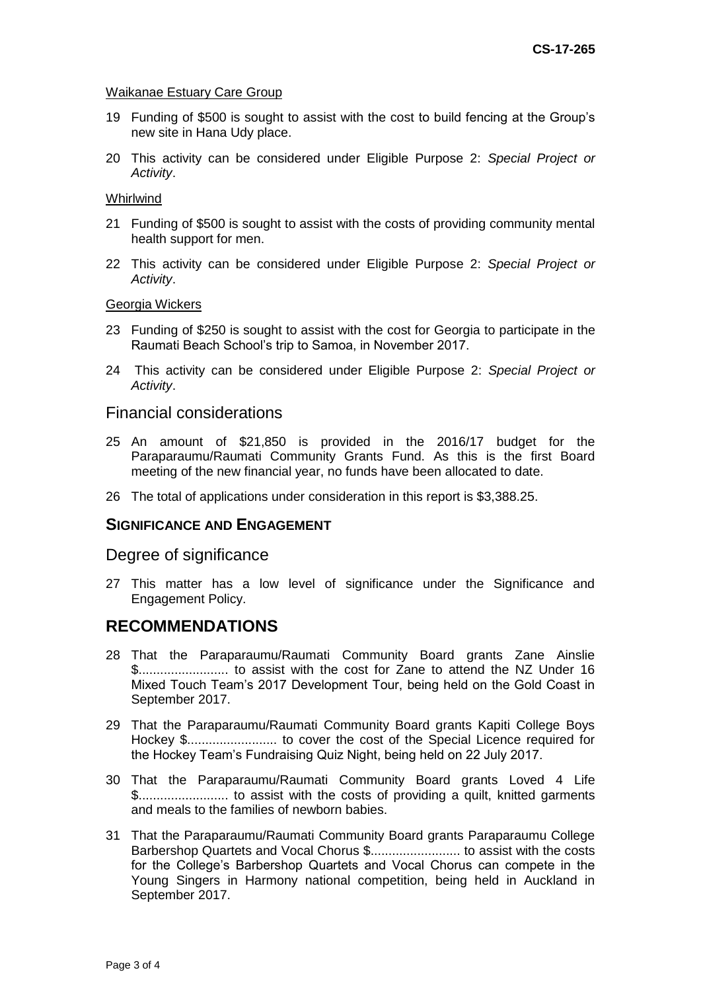#### Waikanae Estuary Care Group

- 19 Funding of \$500 is sought to assist with the cost to build fencing at the Group's new site in Hana Udy place.
- 20 This activity can be considered under Eligible Purpose 2: *Special Project or Activity*.

#### Whirlwind

- 21 Funding of \$500 is sought to assist with the costs of providing community mental health support for men.
- 22 This activity can be considered under Eligible Purpose 2: *Special Project or Activity*.

#### Georgia Wickers

- 23 Funding of \$250 is sought to assist with the cost for Georgia to participate in the Raumati Beach School's trip to Samoa, in November 2017.
- 24 This activity can be considered under Eligible Purpose 2: *Special Project or Activity*.

#### Financial considerations

- 25 An amount of \$21,850 is provided in the 2016/17 budget for the Paraparaumu/Raumati Community Grants Fund. As this is the first Board meeting of the new financial year, no funds have been allocated to date.
- 26 The total of applications under consideration in this report is \$3,388.25.

#### **SIGNIFICANCE AND ENGAGEMENT**

#### Degree of significance

27 This matter has a low level of significance under the Significance and Engagement Policy.

### **RECOMMENDATIONS**

- 28 That the Paraparaumu/Raumati Community Board grants Zane Ainslie \$......................... to assist with the cost for Zane to attend the NZ Under 16 Mixed Touch Team's 2017 Development Tour, being held on the Gold Coast in September 2017.
- 29 That the Paraparaumu/Raumati Community Board grants Kapiti College Boys Hockey \$......................... to cover the cost of the Special Licence required for the Hockey Team's Fundraising Quiz Night, being held on 22 July 2017.
- 30 That the Paraparaumu/Raumati Community Board grants Loved 4 Life \$......................... to assist with the costs of providing a quilt, knitted garments and meals to the families of newborn babies.
- 31 That the Paraparaumu/Raumati Community Board grants Paraparaumu College Barbershop Quartets and Vocal Chorus \$......................... to assist with the costs for the College's Barbershop Quartets and Vocal Chorus can compete in the Young Singers in Harmony national competition, being held in Auckland in September 2017.